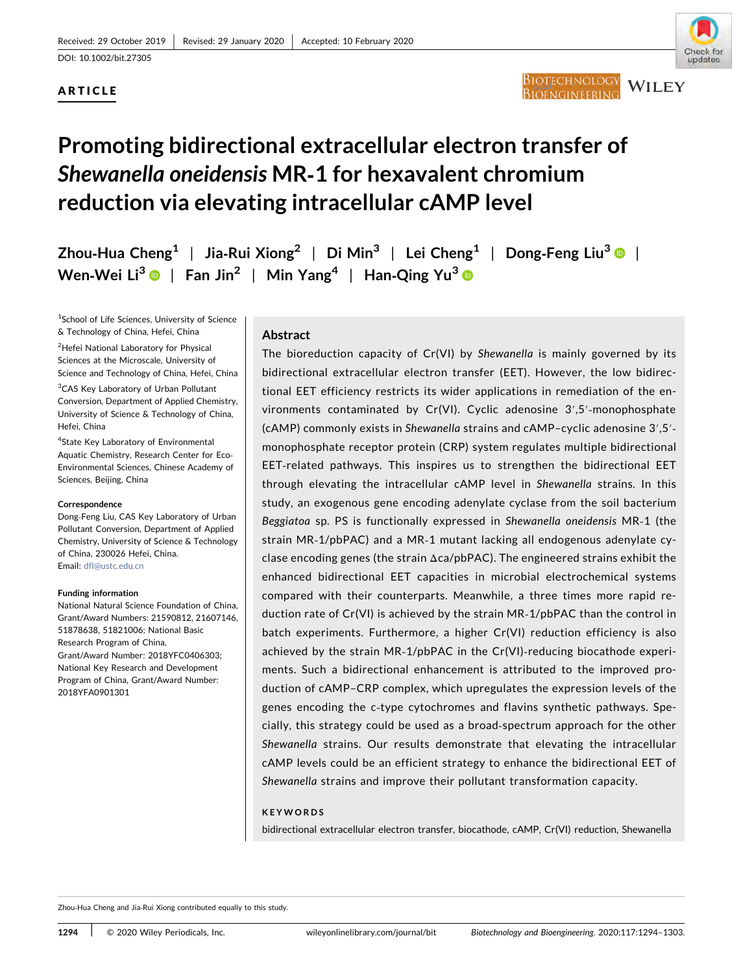# ARTICLE



# Promoting bidirectional extracellular electron transfer of Shewanella oneidensis MR‐1 for hexavalent chromium reduction via elevating intracellular cAMP level

Zhou-Hua Cheng<sup>1</sup> | Jia-Rui Xiong<sup>2</sup> | Di Min<sup>3</sup> | Lei Cheng<sup>1</sup> | Dong-Feng Liu<sup>3</sup> | | Wen-Wei Li<sup>3</sup>  $\bullet$  | Fan Jin<sup>2</sup> | Min Yang<sup>4</sup> | Han-Qing Yu<sup>3</sup>  $\bullet$ 

<sup>1</sup>School of Life Sciences, University of Science & Technology of China, Hefei, China

2 Hefei National Laboratory for Physical Sciences at the Microscale, University of Science and Technology of China, Hefei, China

<sup>3</sup>CAS Key Laboratory of Urban Pollutant Conversion, Department of Applied Chemistry, University of Science & Technology of China, Hefei, China

4 State Key Laboratory of Environmental Aquatic Chemistry, Research Center for Eco‐ Environmental Sciences, Chinese Academy of Sciences, Beijing, China

#### Correspondence

Dong‐Feng Liu, CAS Key Laboratory of Urban Pollutant Conversion, Department of Applied Chemistry, University of Science & Technology of China, 230026 Hefei, China. Email: [dfl@ustc.edu.cn](mailto:dfl@ustc.edu.cn)

#### Funding information

National Natural Science Foundation of China, Grant/Award Numbers: 21590812, 21607146, 51878638, 51821006; National Basic Research Program of China, Grant/Award Number: 2018YFC0406303; National Key Research and Development Program of China, Grant/Award Number: 2018YFA0901301

# Abstract

The bioreduction capacity of Cr(VI) by Shewanella is mainly governed by its bidirectional extracellular electron transfer (EET). However, the low bidirectional EET efficiency restricts its wider applications in remediation of the environments contaminated by Cr(VI). Cyclic adenosine 3′,5′‐monophosphate (cAMP) commonly exists in Shewanella strains and cAMP–cyclic adenosine 3′,5′‐ monophosphate receptor protein (CRP) system regulates multiple bidirectional EET-related pathways. This inspires us to strengthen the bidirectional EET through elevating the intracellular cAMP level in Shewanella strains. In this study, an exogenous gene encoding adenylate cyclase from the soil bacterium Beggiatoa sp. PS is functionally expressed in Shewanella oneidensis MR‐1 (the strain MR‐1/pbPAC) and a MR‐1 mutant lacking all endogenous adenylate cyclase encoding genes (the strain Δca/pbPAC). The engineered strains exhibit the enhanced bidirectional EET capacities in microbial electrochemical systems compared with their counterparts. Meanwhile, a three times more rapid reduction rate of Cr(VI) is achieved by the strain MR‐1/pbPAC than the control in batch experiments. Furthermore, a higher Cr(VI) reduction efficiency is also achieved by the strain MR‐1/pbPAC in the Cr(VI)‐reducing biocathode experiments. Such a bidirectional enhancement is attributed to the improved production of cAMP–CRP complex, which upregulates the expression levels of the genes encoding the c-type cytochromes and flavins synthetic pathways. Specially, this strategy could be used as a broad‐spectrum approach for the other Shewanella strains. Our results demonstrate that elevating the intracellular cAMP levels could be an efficient strategy to enhance the bidirectional EET of Shewanella strains and improve their pollutant transformation capacity.

### KEYWORDS

bidirectional extracellular electron transfer, biocathode, cAMP, Cr(VI) reduction, Shewanella

Zhou‐Hua Cheng and Jia‐Rui Xiong contributed equally to this study.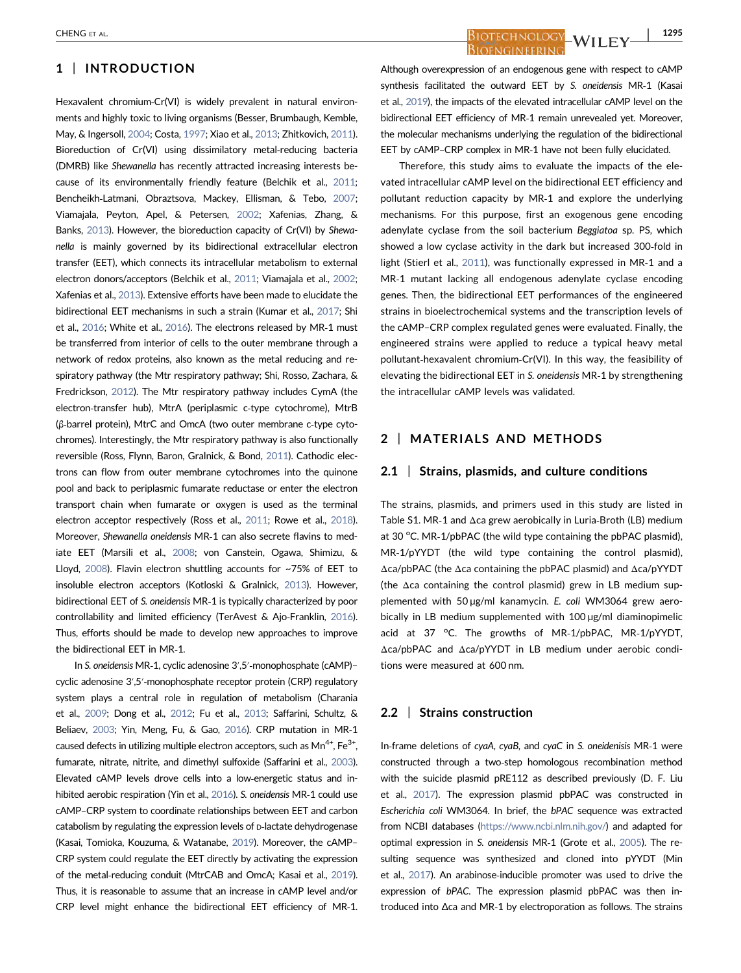# 1 | INTRODUCTION

Hexavalent chromium-Cr(VI) is widely prevalent in natural environments and highly toxic to living organisms (Besser, Brumbaugh, Kemble, May, & Ingersoll, [2004;](#page-8-0) Costa, [1997](#page-8-0); Xiao et al., [2013;](#page-9-0) Zhitkovich, [2011\)](#page-9-0). Bioreduction of Cr(VI) using dissimilatory metal‐reducing bacteria (DMRB) like Shewanella has recently attracted increasing interests because of its environmentally friendly feature (Belchik et al., [2011;](#page-8-0) Bencheikh‐Latmani, Obraztsova, Mackey, Ellisman, & Tebo, [2007;](#page-8-0) Viamajala, Peyton, Apel, & Petersen, [2002](#page-9-0); Xafenias, Zhang, & Banks, [2013\)](#page-9-0). However, the bioreduction capacity of Cr(VI) by Shewanella is mainly governed by its bidirectional extracellular electron transfer (EET), which connects its intracellular metabolism to external electron donors/acceptors (Belchik et al., [2011](#page-8-0); Viamajala et al., [2002;](#page-9-0) Xafenias et al., [2013\)](#page-9-0). Extensive efforts have been made to elucidate the bidirectional EET mechanisms in such a strain (Kumar et al., [2017;](#page-8-0) Shi et al., [2016;](#page-9-0) White et al., [2016\)](#page-9-0). The electrons released by MR‐1 must be transferred from interior of cells to the outer membrane through a network of redox proteins, also known as the metal reducing and respiratory pathway (the Mtr respiratory pathway; Shi, Rosso, Zachara, & Fredrickson, [2012](#page-9-0)). The Mtr respiratory pathway includes CymA (the electron-transfer hub), MtrA (periplasmic c-type cytochrome), MtrB (β‐barrel protein), MtrC and OmcA (two outer membrane c‐type cytochromes). Interestingly, the Mtr respiratory pathway is also functionally reversible (Ross, Flynn, Baron, Gralnick, & Bond, [2011\)](#page-9-0). Cathodic electrons can flow from outer membrane cytochromes into the quinone pool and back to periplasmic fumarate reductase or enter the electron transport chain when fumarate or oxygen is used as the terminal electron acceptor respectively (Ross et al., [2011](#page-9-0); Rowe et al., [2018\)](#page-9-0). Moreover, Shewanella oneidensis MR‐1 can also secrete flavins to mediate EET (Marsili et al., [2008](#page-8-0); von Canstein, Ogawa, Shimizu, & Lloyd, [2008](#page-8-0)). Flavin electron shuttling accounts for ~75% of EET to insoluble electron acceptors (Kotloski & Gralnick, [2013](#page-8-0)). However, bidirectional EET of S. oneidensis MR‐1 is typically characterized by poor controllability and limited efficiency (TerAvest & Ajo‐Franklin, [2016\)](#page-9-0). Thus, efforts should be made to develop new approaches to improve the bidirectional EET in MR‐1.

In S. oneidensis MR‐1, cyclic adenosine 3′,5′‐monophosphate (cAMP)– cyclic adenosine 3′,5′‐monophosphate receptor protein (CRP) regulatory system plays a central role in regulation of metabolism (Charania et al., [2009;](#page-8-0) Dong et al., [2012;](#page-8-0) Fu et al., [2013;](#page-8-0) Saffarini, Schultz, & Beliaev, [2003;](#page-9-0) Yin, Meng, Fu, & Gao, [2016](#page-9-0)). CRP mutation in MR‐1 caused defects in utilizing multiple electron acceptors, such as  $Mn^{4+}$ ,  $Fe^{3+}$ , fumarate, nitrate, nitrite, and dimethyl sulfoxide (Saffarini et al., [2003\)](#page-9-0). Elevated cAMP levels drove cells into a low‐energetic status and inhibited aerobic respiration (Yin et al., [2016](#page-9-0)). S. oneidensis MR‐1 could use cAMP–CRP system to coordinate relationships between EET and carbon catabolism by regulating the expression levels of <sup>D</sup>‐lactate dehydrogenase (Kasai, Tomioka, Kouzuma, & Watanabe, [2019](#page-8-0)). Moreover, the cAMP– CRP system could regulate the EET directly by activating the expression of the metal-reducing conduit (MtrCAB and OmcA; Kasai et al., [2019\)](#page-8-0). Thus, it is reasonable to assume that an increase in cAMP level and/or CRP level might enhance the bidirectional EET efficiency of MR‐1.

CHENG ET AL. | 1295**BIOENGINEERIN** 

> Although overexpression of an endogenous gene with respect to cAMP synthesis facilitated the outward EET by S. oneidensis MR‐1 (Kasai et al., [2019\)](#page-8-0), the impacts of the elevated intracellular cAMP level on the bidirectional EET efficiency of MR‐1 remain unrevealed yet. Moreover, the molecular mechanisms underlying the regulation of the bidirectional EET by cAMP–CRP complex in MR‐1 have not been fully elucidated.

> Therefore, this study aims to evaluate the impacts of the elevated intracellular cAMP level on the bidirectional EET efficiency and pollutant reduction capacity by MR‐1 and explore the underlying mechanisms. For this purpose, first an exogenous gene encoding adenylate cyclase from the soil bacterium Beggiatoa sp. PS, which showed a low cyclase activity in the dark but increased 300‐fold in light (Stierl et al., [2011\)](#page-9-0), was functionally expressed in MR‐1 and a MR‐1 mutant lacking all endogenous adenylate cyclase encoding genes. Then, the bidirectional EET performances of the engineered strains in bioelectrochemical systems and the transcription levels of the cAMP–CRP complex regulated genes were evaluated. Finally, the engineered strains were applied to reduce a typical heavy metal pollutant‐hexavalent chromium‐Cr(VI). In this way, the feasibility of elevating the bidirectional EET in S. oneidensis MR‐1 by strengthening the intracellular cAMP levels was validated.

# 2 | MATERIALS AND METHODS

#### 2.1 | Strains, plasmids, and culture conditions

The strains, plasmids, and primers used in this study are listed in Table S1. MR‐1 and Δca grew aerobically in Luria‐Broth (LB) medium at 30 °C. MR-1/pbPAC (the wild type containing the pbPAC plasmid), MR‐1/pYYDT (the wild type containing the control plasmid), Δca/pbPAC (the Δca containing the pbPAC plasmid) and Δca/pYYDT (the Δca containing the control plasmid) grew in LB medium supplemented with 50 µg/ml kanamycin. E. coli WM3064 grew aerobically in LB medium supplemented with 100 µg/ml diaminopimelic acid at 37 °C. The growths of MR-1/pbPAC, MR-1/pYYDT, Δca/pbPAC and Δca/pYYDT in LB medium under aerobic conditions were measured at 600 nm.

#### 2.2 | Strains construction

In‐frame deletions of cyaA, cyaB, and cyaC in S. oneidenisis MR‐1 were constructed through a two‐step homologous recombination method with the suicide plasmid pRE112 as described previously (D. F. Liu et al., [2017\)](#page-8-0). The expression plasmid pbPAC was constructed in Escherichia coli WM3064. In brief, the bPAC sequence was extracted from NCBI databases [\(https://www.ncbi.nlm.nih.gov/\)](https://www.ncbi.nlm.nih.gov/) and adapted for optimal expression in S. oneidensis MR‐1 (Grote et al., [2005\)](#page-8-0). The resulting sequence was synthesized and cloned into pYYDT (Min et al., [2017](#page-8-0)). An arabinose‐inducible promoter was used to drive the expression of bPAC. The expression plasmid pbPAC was then introduced into Δca and MR‐1 by electroporation as follows. The strains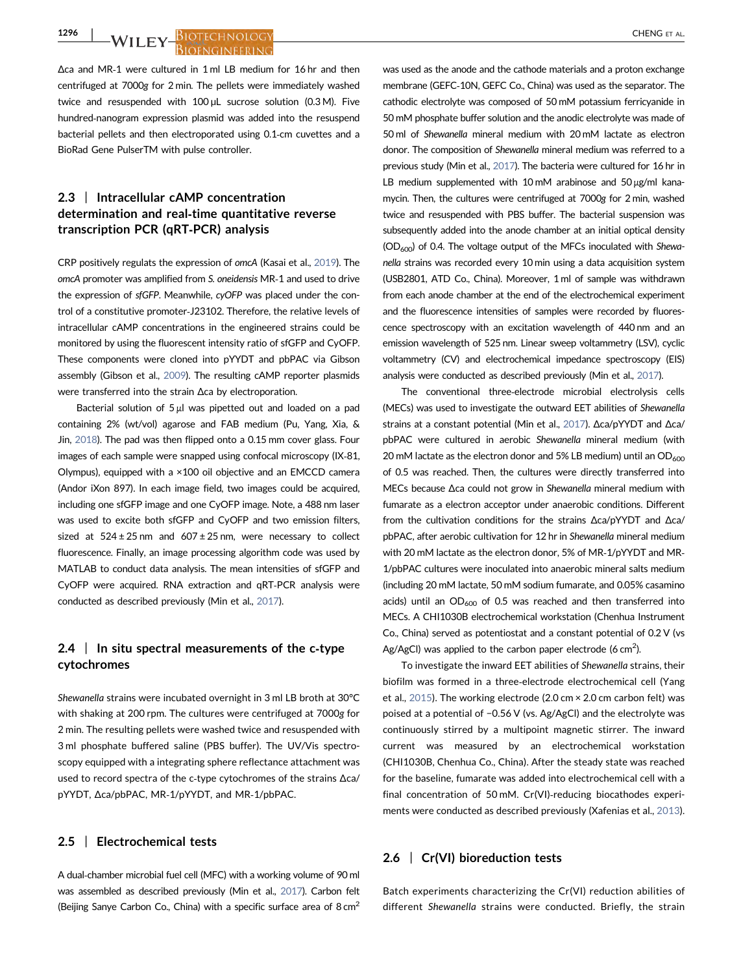1296 | M/LLEY BIOTECHNOLOGY

Δca and MR‐1 were cultured in 1 ml LB medium for 16 hr and then centrifuged at 7000g for 2 min. The pellets were immediately washed twice and resuspended with 100 µL sucrose solution (0.3 M). Five hundred‐nanogram expression plasmid was added into the resuspend bacterial pellets and then electroporated using 0.1‐cm cuvettes and a BioRad Gene PulserTM with pulse controller.

# 2.3 | Intracellular cAMP concentration determination and real-time quantitative reverse transcription PCR (qRT‐PCR) analysis

CRP positively regulats the expression of omcA (Kasai et al., [2019](#page-8-0)). The omcA promoter was amplified from S. oneidensis MR‐1 and used to drive the expression of sfGFP. Meanwhile, cyOFP was placed under the control of a constitutive promoter‐J23102. Therefore, the relative levels of intracellular cAMP concentrations in the engineered strains could be monitored by using the fluorescent intensity ratio of sfGFP and CyOFP. These components were cloned into pYYDT and pbPAC via Gibson assembly (Gibson et al., [2009](#page-8-0)). The resulting cAMP reporter plasmids were transferred into the strain Δca by electroporation.

Bacterial solution of 5 μl was pipetted out and loaded on a pad containing 2% (wt/vol) agarose and FAB medium (Pu, Yang, Xia, & Jin, [2018](#page-9-0)). The pad was then flipped onto a 0.15 mm cover glass. Four images of each sample were snapped using confocal microscopy (IX‐81, Olympus), equipped with a ×100 oil objective and an EMCCD camera (Andor iXon 897). In each image field, two images could be acquired, including one sfGFP image and one CyOFP image. Note, a 488 nm laser was used to excite both sfGFP and CyOFP and two emission filters, sized at  $524 \pm 25$  nm and  $607 \pm 25$  nm, were necessary to collect fluorescence. Finally, an image processing algorithm code was used by MATLAB to conduct data analysis. The mean intensities of sfGFP and CyOFP were acquired. RNA extraction and qRT‐PCR analysis were conducted as described previously (Min et al., [2017](#page-8-0)).

# 2.4  $\parallel$  In situ spectral measurements of the c-type cytochromes

Shewanella strains were incubated overnight in 3 ml LB broth at 30°C with shaking at 200 rpm. The cultures were centrifuged at 7000g for 2 min. The resulting pellets were washed twice and resuspended with 3 ml phosphate buffered saline (PBS buffer). The UV/Vis spectroscopy equipped with a integrating sphere reflectance attachment was used to record spectra of the c‐type cytochromes of the strains Δca/ pYYDT, Δca/pbPAC, MR‐1/pYYDT, and MR‐1/pbPAC.

#### 2.5 | Electrochemical tests

A dual‐chamber microbial fuel cell (MFC) with a working volume of 90 ml was assembled as described previously (Min et al., [2017\)](#page-8-0). Carbon felt (Beijing Sanye Carbon Co., China) with a specific surface area of  $8 \text{ cm}^2$ 

was used as the anode and the cathode materials and a proton exchange membrane (GEFC‐10N, GEFC Co., China) was used as the separator. The cathodic electrolyte was composed of 50 mM potassium ferricyanide in 50 mM phosphate buffer solution and the anodic electrolyte was made of 50 ml of Shewanella mineral medium with 20 mM lactate as electron donor. The composition of Shewanella mineral medium was referred to a previous study (Min et al., [2017\)](#page-8-0). The bacteria were cultured for 16 hr in LB medium supplemented with 10 mM arabinose and 50 μg/ml kanamycin. Then, the cultures were centrifuged at 7000g for 2 min, washed twice and resuspended with PBS buffer. The bacterial suspension was subsequently added into the anode chamber at an initial optical density  $(OD<sub>600</sub>)$  of 0.4. The voltage output of the MFCs inoculated with Shewanella strains was recorded every 10 min using a data acquisition system (USB2801, ATD Co., China). Moreover, 1 ml of sample was withdrawn from each anode chamber at the end of the electrochemical experiment and the fluorescence intensities of samples were recorded by fluorescence spectroscopy with an excitation wavelength of 440 nm and an emission wavelength of 525 nm. Linear sweep voltammetry (LSV), cyclic voltammetry (CV) and electrochemical impedance spectroscopy (EIS) analysis were conducted as described previously (Min et al., [2017\)](#page-8-0).

The conventional three‐electrode microbial electrolysis cells (MECs) was used to investigate the outward EET abilities of Shewanella strains at a constant potential (Min et al., [2017](#page-8-0)). Δca/pYYDT and Δca/ pbPAC were cultured in aerobic Shewanella mineral medium (with 20 mM lactate as the electron donor and 5% LB medium) until an  $OD<sub>600</sub>$ of 0.5 was reached. Then, the cultures were directly transferred into MECs because Δca could not grow in Shewanella mineral medium with fumarate as a electron acceptor under anaerobic conditions. Different from the cultivation conditions for the strains Δca/pYYDT and Δca/ pbPAC, after aerobic cultivation for 12 hr in Shewanella mineral medium with 20 mM lactate as the electron donor, 5% of MR‐1/pYYDT and MR‐ 1/pbPAC cultures were inoculated into anaerobic mineral salts medium (including 20 mM lactate, 50 mM sodium fumarate, and 0.05% casamino acids) until an  $OD_{600}$  of 0.5 was reached and then transferred into MECs. A CHI1030B electrochemical workstation (Chenhua Instrument Co., China) served as potentiostat and a constant potential of 0.2 V (vs Ag/AgCI) was applied to the carbon paper electrode (6 cm<sup>2</sup>).

To investigate the inward EET abilities of Shewanella strains, their biofilm was formed in a three‐electrode electrochemical cell (Yang et al., [2015](#page-9-0)). The working electrode (2.0 cm × 2.0 cm carbon felt) was poised at a potential of −0.56 V (vs. Ag/AgCl) and the electrolyte was continuously stirred by a multipoint magnetic stirrer. The inward current was measured by an electrochemical workstation (CHI1030B, Chenhua Co., China). After the steady state was reached for the baseline, fumarate was added into electrochemical cell with a final concentration of 50 mM. Cr(VI)-reducing biocathodes experiments were conducted as described previously (Xafenias et al., [2013](#page-9-0)).

#### 2.6 | Cr(VI) bioreduction tests

Batch experiments characterizing the Cr(VI) reduction abilities of different Shewanella strains were conducted. Briefly, the strain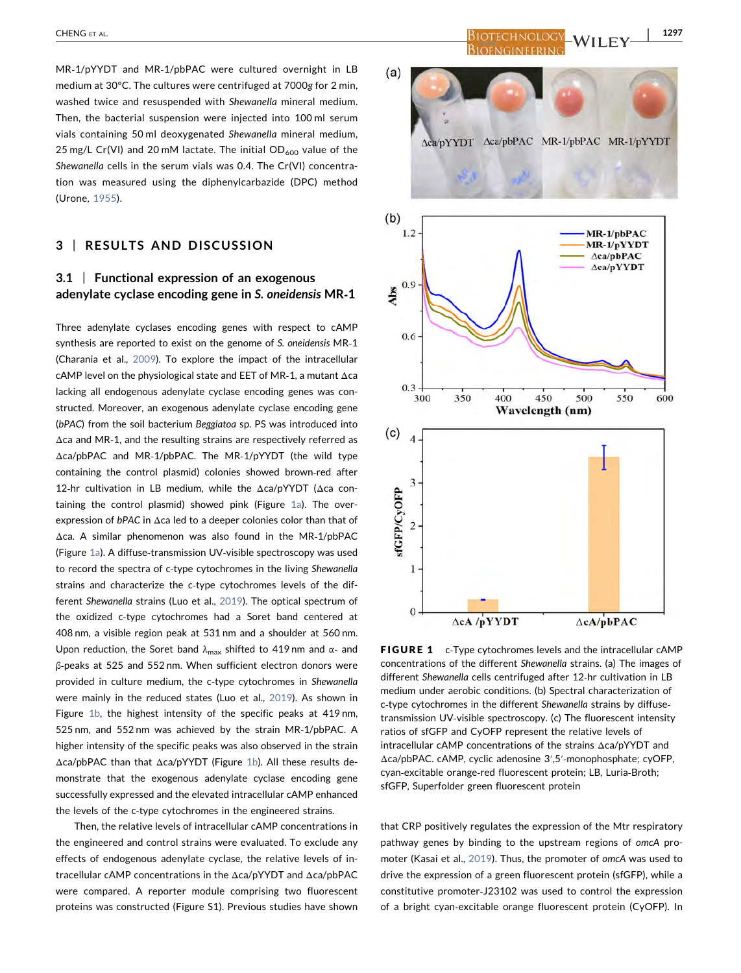MR‐1/pYYDT and MR‐1/pbPAC were cultured overnight in LB medium at 30°C. The cultures were centrifuged at 7000g for 2 min, washed twice and resuspended with Shewanella mineral medium. Then, the bacterial suspension were injected into 100 ml serum vials containing 50 ml deoxygenated Shewanella mineral medium, 25 mg/L Cr(VI) and 20 mM lactate. The initial  $OD_{600}$  value of the Shewanella cells in the serum vials was 0.4. The Cr(VI) concentration was measured using the diphenylcarbazide (DPC) method (Urone, [1955\)](#page-9-0).

### 3 | RESULTS AND DISCUSSION

# 3.1 | Functional expression of an exogenous adenylate cyclase encoding gene in S. oneidensis MR‐1

Three adenylate cyclases encoding genes with respect to cAMP synthesis are reported to exist on the genome of S. oneidensis MR‐1 (Charania et al., [2009](#page-8-0)). To explore the impact of the intracellular cAMP level on the physiological state and EET of MR‐1, a mutant Δca lacking all endogenous adenylate cyclase encoding genes was constructed. Moreover, an exogenous adenylate cyclase encoding gene (bPAC) from the soil bacterium Beggiatoa sp. PS was introduced into Δca and MR‐1, and the resulting strains are respectively referred as Δca/pbPAC and MR‐1/pbPAC. The MR‐1/pYYDT (the wild type containing the control plasmid) colonies showed brown‐red after 12‐hr cultivation in LB medium, while the Δca/pYYDT (Δca containing the control plasmid) showed pink (Figure [1a](#page-3-0)). The overexpression of bPAC in Δca led to a deeper colonies color than that of Δca. A similar phenomenon was also found in the MR‐1/pbPAC (Figure [1a\)](#page-3-0). A diffuse‐transmission UV‐visible spectroscopy was used to record the spectra of c‐type cytochromes in the living Shewanella strains and characterize the c-type cytochromes levels of the different Shewanella strains (Luo et al., [2019\)](#page-8-0). The optical spectrum of the oxidized c‐type cytochromes had a Soret band centered at 408 nm, a visible region peak at 531 nm and a shoulder at 560 nm. Upon reduction, the Soret band  $\lambda_{\text{max}}$  shifted to 419 nm and  $\alpha$ - and β‐peaks at 525 and 552 nm. When sufficient electron donors were provided in culture medium, the c-type cytochromes in Shewanella were mainly in the reduced states (Luo et al., [2019\)](#page-8-0). As shown in Figure [1b](#page-3-0), the highest intensity of the specific peaks at 419 nm, 525 nm, and 552 nm was achieved by the strain MR‐1/pbPAC. A higher intensity of the specific peaks was also observed in the strain Δca/pbPAC than that Δca/pYYDT (Figure [1b](#page-3-0)). All these results demonstrate that the exogenous adenylate cyclase encoding gene successfully expressed and the elevated intracellular cAMP enhanced the levels of the c-type cytochromes in the engineered strains.

Then, the relative levels of intracellular cAMP concentrations in the engineered and control strains were evaluated. To exclude any effects of endogenous adenylate cyclase, the relative levels of intracellular cAMP concentrations in the Δca/pYYDT and Δca/pbPAC were compared. A reporter module comprising two fluorescent proteins was constructed (Figure S1). Previous studies have shown

<span id="page-3-0"></span>

FIGURE 1 c-Type cytochromes levels and the intracellular cAMP concentrations of the different Shewanella strains. (a) The images of different Shewanella cells centrifuged after 12‐hr cultivation in LB medium under aerobic conditions. (b) Spectral characterization of c-type cytochromes in the different Shewanella strains by diffusetransmission UV‐visible spectroscopy. (c) The fluorescent intensity ratios of sfGFP and CyOFP represent the relative levels of intracellular cAMP concentrations of the strains Δca/pYYDT and Δca/pbPAC. cAMP, cyclic adenosine 3′,5′‐monophosphate; cyOFP, cyan‐excitable orange‐red fluorescent protein; LB, Luria‐Broth; sfGFP, Superfolder green fluorescent protein

that CRP positively regulates the expression of the Mtr respiratory pathway genes by binding to the upstream regions of omcA promoter (Kasai et al., [2019](#page-8-0)). Thus, the promoter of omcA was used to drive the expression of a green fluorescent protein (sfGFP), while a constitutive promoter‐J23102 was used to control the expression of a bright cyan‐excitable orange fluorescent protein (CyOFP). In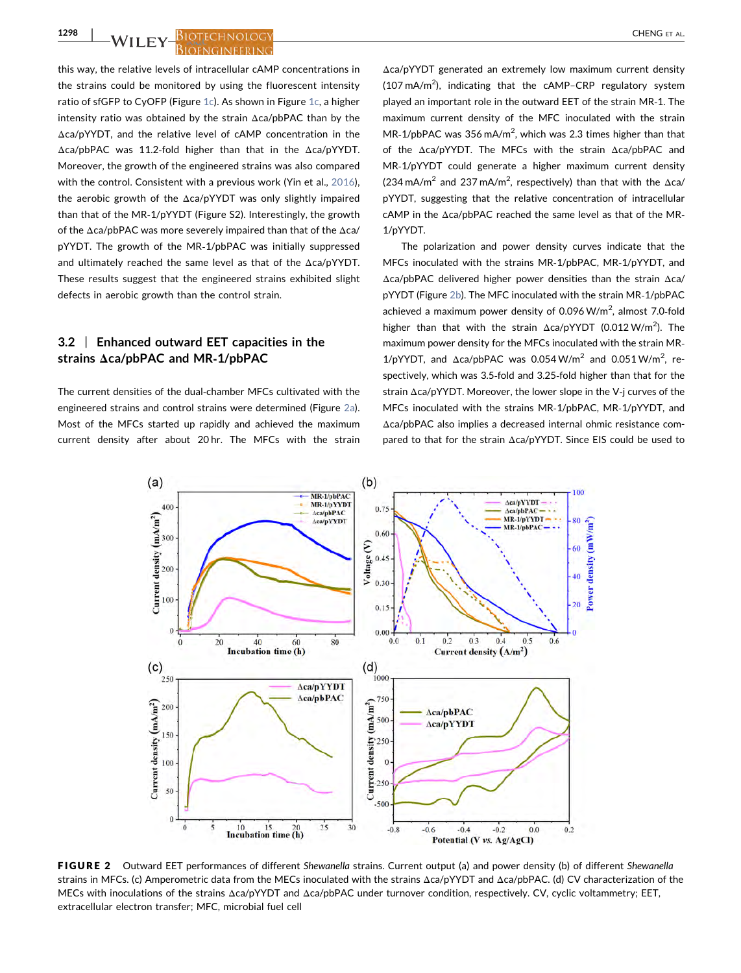1298 | M/LLEY BIOTECHNOLOGY

this way, the relative levels of intracellular cAMP concentrations in the strains could be monitored by using the fluorescent intensity ratio of sfGFP to CyOFP (Figure [1c\)](#page-3-0). As shown in Figure [1c,](#page-3-0) a higher intensity ratio was obtained by the strain Δca/pbPAC than by the Δca/pYYDT, and the relative level of cAMP concentration in the Δca/pbPAC was 11.2‐fold higher than that in the Δca/pYYDT. Moreover, the growth of the engineered strains was also compared with the control. Consistent with a previous work (Yin et al., [2016](#page-9-0)). the aerobic growth of the Δca/pYYDT was only slightly impaired than that of the MR‐1/pYYDT (Figure S2). Interestingly, the growth of the Δca/pbPAC was more severely impaired than that of the Δca/ pYYDT. The growth of the MR‐1/pbPAC was initially suppressed and ultimately reached the same level as that of the Δca/pYYDT. These results suggest that the engineered strains exhibited slight

defects in aerobic growth than the control strain.

# 3.2 | Enhanced outward EET capacities in the strains Δca/pbPAC and MR‐1/pbPAC

The current densities of the dual‐chamber MFCs cultivated with the engineered strains and control strains were determined (Figure [2a](#page-4-0)). Most of the MFCs started up rapidly and achieved the maximum current density after about 20 hr. The MFCs with the strain Δca/pYYDT generated an extremely low maximum current density  $(107 \text{ mA/m}^2)$ , indicating that the cAMP-CRP regulatory system played an important role in the outward EET of the strain MR‐1. The maximum current density of the MFC inoculated with the strain MR-1/pbPAC was  $356 \text{ mA/m}^2$ , which was 2.3 times higher than that of the Δca/pYYDT. The MFCs with the strain Δca/pbPAC and MR‐1/pYYDT could generate a higher maximum current density  $(234 \text{ mA/m}^2 \text{ and } 237 \text{ mA/m}^2 \text{, respectively})$  than that with the  $\Delta$ ca/ pYYDT, suggesting that the relative concentration of intracellular cAMP in the Δca/pbPAC reached the same level as that of the MR‐ 1/pYYDT.

The polarization and power density curves indicate that the MFCs inoculated with the strains MR‐1/pbPAC, MR‐1/pYYDT, and Δca/pbPAC delivered higher power densities than the strain Δca/ pYYDT (Figure [2b\)](#page-4-0). The MFC inoculated with the strain MR‐1/pbPAC achieved a maximum power density of  $0.096 \text{ W/m}^2$ , almost 7.0-fold higher than that with the strain  $\Delta$ ca/pYYDT (0.012 W/m<sup>2</sup>). The maximum power density for the MFCs inoculated with the strain MR‐  $1/p$ YYDT, and  $\Delta$ ca/pbPAC was 0.054 W/m<sup>2</sup> and 0.051 W/m<sup>2</sup>, respectively, which was 3.5‐fold and 3.25‐fold higher than that for the strain Δca/pYYDT. Moreover, the lower slope in the V‐j curves of the MFCs inoculated with the strains MR‐1/pbPAC, MR‐1/pYYDT, and Δca/pbPAC also implies a decreased internal ohmic resistance compared to that for the strain Δca/pYYDT. Since EIS could be used to

<span id="page-4-0"></span>

FIGURE 2 Outward EET performances of different Shewanella strains. Current output (a) and power density (b) of different Shewanella strains in MFCs. (c) Amperometric data from the MECs inoculated with the strains Δca/pYYDT and Δca/pbPAC. (d) CV characterization of the MECs with inoculations of the strains Δca/pYYDT and Δca/pbPAC under turnover condition, respectively. CV, cyclic voltammetry; EET, extracellular electron transfer; MFC, microbial fuel cell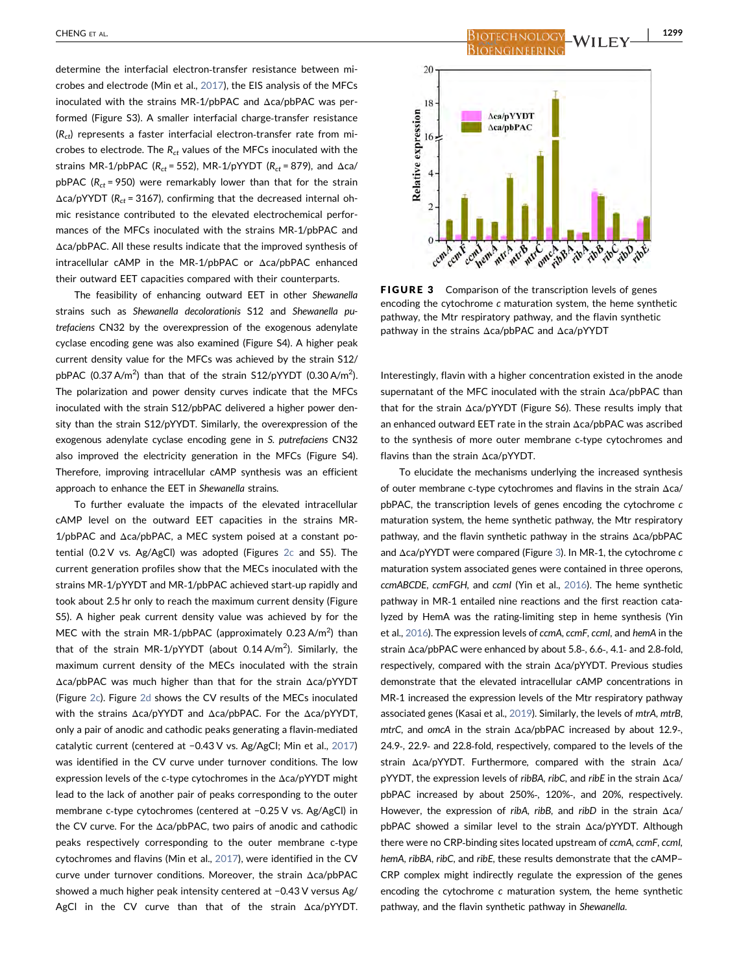determine the interfacial electron‐transfer resistance between microbes and electrode (Min et al., [2017\)](#page-8-0), the EIS analysis of the MFCs inoculated with the strains MR‐1/pbPAC and Δca/pbPAC was performed (Figure S3). A smaller interfacial charge‐transfer resistance  $(R<sub>ct</sub>)$  represents a faster interfacial electron-transfer rate from microbes to electrode. The  $R_{ct}$  values of the MFCs inoculated with the strains MR-1/pbPAC ( $R_{ct}$  = 552), MR-1/pYYDT ( $R_{ct}$  = 879), and  $\Delta$ ca/ pbPAC ( $R_{ct}$  = 950) were remarkably lower than that for the strain  $\Delta$ ca/pYYDT ( $R_{ct}$  = 3167), confirming that the decreased internal ohmic resistance contributed to the elevated electrochemical performances of the MFCs inoculated with the strains MR‐1/pbPAC and Δca/pbPAC. All these results indicate that the improved synthesis of intracellular cAMP in the MR‐1/pbPAC or Δca/pbPAC enhanced their outward EET capacities compared with their counterparts.

The feasibility of enhancing outward EET in other Shewanella strains such as Shewanella decolorationis S12 and Shewanella putrefaciens CN32 by the overexpression of the exogenous adenylate cyclase encoding gene was also examined (Figure S4). A higher peak current density value for the MFCs was achieved by the strain S12/ pbPAC (0.37 A/m<sup>2</sup>) than that of the strain S12/pYYDT (0.30 A/m<sup>2</sup>). The polarization and power density curves indicate that the MFCs inoculated with the strain S12/pbPAC delivered a higher power density than the strain S12/pYYDT. Similarly, the overexpression of the exogenous adenylate cyclase encoding gene in S. putrefaciens CN32 also improved the electricity generation in the MFCs (Figure S4). Therefore, improving intracellular cAMP synthesis was an efficient approach to enhance the EET in Shewanella strains.

To further evaluate the impacts of the elevated intracellular cAMP level on the outward EET capacities in the strains MR‐ 1/pbPAC and Δca/pbPAC, a MEC system poised at a constant potential (0.2 V vs. Ag/AgCl) was adopted (Figures [2c](#page-4-0) and S5). The current generation profiles show that the MECs inoculated with the strains MR‐1/pYYDT and MR‐1/pbPAC achieved start‐up rapidly and took about 2.5 hr only to reach the maximum current density (Figure S5). A higher peak current density value was achieved by for the MEC with the strain MR-1/pbPAC (approximately 0.23 A/m<sup>2</sup>) than that of the strain MR-1/pYYDT (about 0.14 A/m<sup>2</sup>). Similarly, the maximum current density of the MECs inoculated with the strain Δca/pbPAC was much higher than that for the strain Δca/pYYDT (Figure [2c\)](#page-4-0). Figure [2d](#page-4-0) shows the CV results of the MECs inoculated with the strains Δca/pYYDT and Δca/pbPAC. For the Δca/pYYDT, only a pair of anodic and cathodic peaks generating a flavin‐mediated catalytic current (centered at −0.43 V vs. Ag/AgCl; Min et al., [2017](#page-8-0)) was identified in the CV curve under turnover conditions. The low expression levels of the c‐type cytochromes in the Δca/pYYDT might lead to the lack of another pair of peaks corresponding to the outer membrane c‐type cytochromes (centered at −0.25 V vs. Ag/AgCl) in the CV curve. For the Δca/pbPAC, two pairs of anodic and cathodic peaks respectively corresponding to the outer membrane c‐type cytochromes and flavins (Min et al., [2017](#page-8-0)), were identified in the CV curve under turnover conditions. Moreover, the strain Δca/pbPAC showed a much higher peak intensity centered at −0.43 V versus Ag/ AgCl in the CV curve than that of the strain Δca/pYYDT.

<span id="page-5-0"></span>

FIGURE 3 Comparison of the transcription levels of genes encoding the cytochrome c maturation system, the heme synthetic pathway, the Mtr respiratory pathway, and the flavin synthetic pathway in the strains Δca/pbPAC and Δca/pYYDT

Interestingly, flavin with a higher concentration existed in the anode supernatant of the MFC inoculated with the strain Δca/pbPAC than that for the strain Δca/pYYDT (Figure S6). These results imply that an enhanced outward EET rate in the strain Δca/pbPAC was ascribed to the synthesis of more outer membrane c‐type cytochromes and flavins than the strain Δca/pYYDT.

To elucidate the mechanisms underlying the increased synthesis of outer membrane c‐type cytochromes and flavins in the strain Δca/ pbPAC, the transcription levels of genes encoding the cytochrome c maturation system, the heme synthetic pathway, the Mtr respiratory pathway, and the flavin synthetic pathway in the strains Δca/pbPAC and Δca/pYYDT were compared (Figure [3\)](#page-5-0). In MR‐1, the cytochrome c maturation system associated genes were contained in three operons, ccmABCDE, ccmFGH, and ccmI (Yin et al., [2016\)](#page-9-0). The heme synthetic pathway in MR‐1 entailed nine reactions and the first reaction catalyzed by HemA was the rating‐limiting step in heme synthesis (Yin et al., [2016](#page-9-0)). The expression levels of ccmA, ccmF, ccmI, and hemA in the strain Δca/pbPAC were enhanced by about 5.8‐, 6.6‐, 4.1‐ and 2.8‐fold, respectively, compared with the strain Δca/pYYDT. Previous studies demonstrate that the elevated intracellular cAMP concentrations in MR‐1 increased the expression levels of the Mtr respiratory pathway associated genes (Kasai et al., [2019\)](#page-8-0). Similarly, the levels of mtrA, mtrB, mtrC, and omcA in the strain Δca/pbPAC increased by about 12.9‐, 24.9‐, 22.9‐ and 22.8‐fold, respectively, compared to the levels of the strain Δca/pYYDT. Furthermore, compared with the strain Δca/ pYYDT, the expression levels of ribBA, ribC, and ribE in the strain Δca/ pbPAC increased by about 250%‐, 120%‐, and 20%, respectively. However, the expression of ribA, ribB, and ribD in the strain Δca/ pbPAC showed a similar level to the strain Δca/pYYDT. Although there were no CRP-binding sites located upstream of ccmA, ccmF, ccmI, hemA, ribBA, ribC, and ribE, these results demonstrate that the cAMP– CRP complex might indirectly regulate the expression of the genes encoding the cytochrome c maturation system, the heme synthetic pathway, and the flavin synthetic pathway in Shewanella.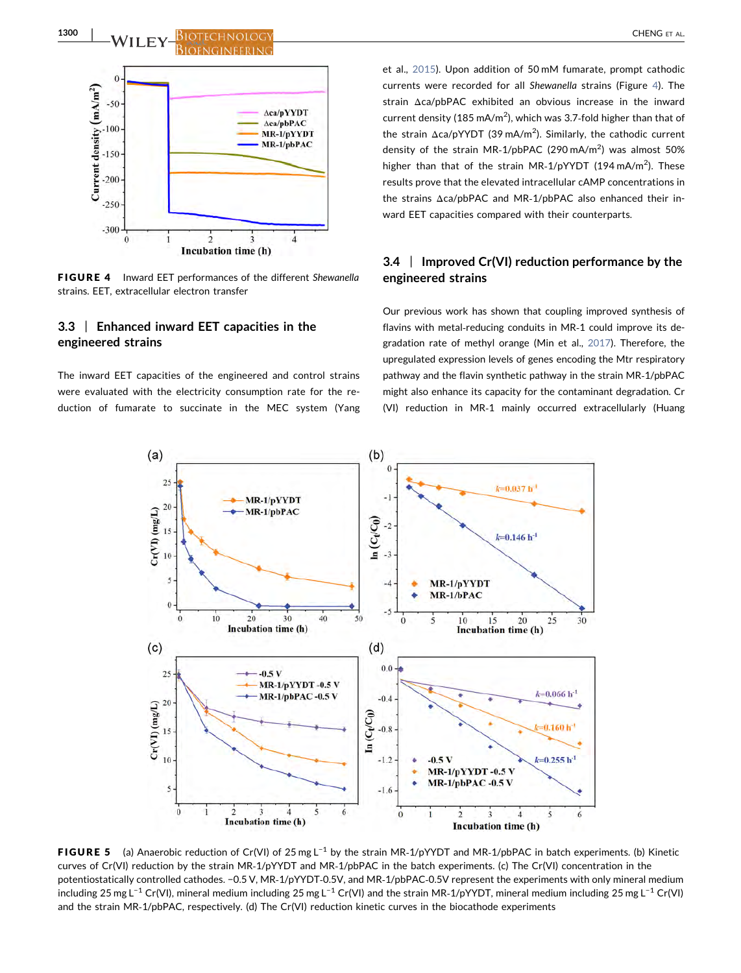# 1300 | M/LLEY BIOTECHNOLOGY



<span id="page-6-0"></span>

FIGURE 4 Inward EET performances of the different Shewanella strains. EET, extracellular electron transfer

# 3.3 | Enhanced inward EET capacities in the engineered strains

The inward EET capacities of the engineered and control strains were evaluated with the electricity consumption rate for the reduction of fumarate to succinate in the MEC system (Yang et al., [2015](#page-9-0)). Upon addition of 50 mM fumarate, prompt cathodic currents were recorded for all Shewanella strains (Figure [4](#page-6-0)). The strain Δca/pbPAC exhibited an obvious increase in the inward current density (185 mA/m<sup>2</sup>), which was 3.7-fold higher than that of the strain Δca/pYYDT (39 mA/m<sup>2</sup>). Similarly, the cathodic current density of the strain MR-1/pbPAC (290 mA/m<sup>2</sup>) was almost 50% higher than that of the strain MR-1/pYYDT (194 mA/m<sup>2</sup>). These results prove that the elevated intracellular cAMP concentrations in the strains Δca/pbPAC and MR‐1/pbPAC also enhanced their inward EET capacities compared with their counterparts.

# 3.4 | Improved Cr(VI) reduction performance by the engineered strains

Our previous work has shown that coupling improved synthesis of flavins with metal‐reducing conduits in MR‐1 could improve its degradation rate of methyl orange (Min et al., [2017\)](#page-8-0). Therefore, the upregulated expression levels of genes encoding the Mtr respiratory pathway and the flavin synthetic pathway in the strain MR‐1/pbPAC might also enhance its capacity for the contaminant degradation. Cr (VI) reduction in MR‐1 mainly occurred extracellularly (Huang

<span id="page-6-1"></span>

**FIGURE 5** (a) Anaerobic reduction of Cr(VI) of 25 mg L<sup>-1</sup> by the strain MR-1/pYYDT and MR-1/pbPAC in batch experiments. (b) Kinetic curves of Cr(VI) reduction by the strain MR‐1/pYYDT and MR‐1/pbPAC in the batch experiments. (c) The Cr(VI) concentration in the potentiostatically controlled cathodes. −0.5 V, MR‐1/pYYDT‐0.5V, and MR‐1/pbPAC‐0.5V represent the experiments with only mineral medium including 25 mg L−<sup>1</sup> Cr(VI), mineral medium including 25 mg L−<sup>1</sup> Cr(VI) and the strain MR‐1/pYYDT, mineral medium including 25 mg L−<sup>1</sup> Cr(VI) and the strain MR‐1/pbPAC, respectively. (d) The Cr(VI) reduction kinetic curves in the biocathode experiments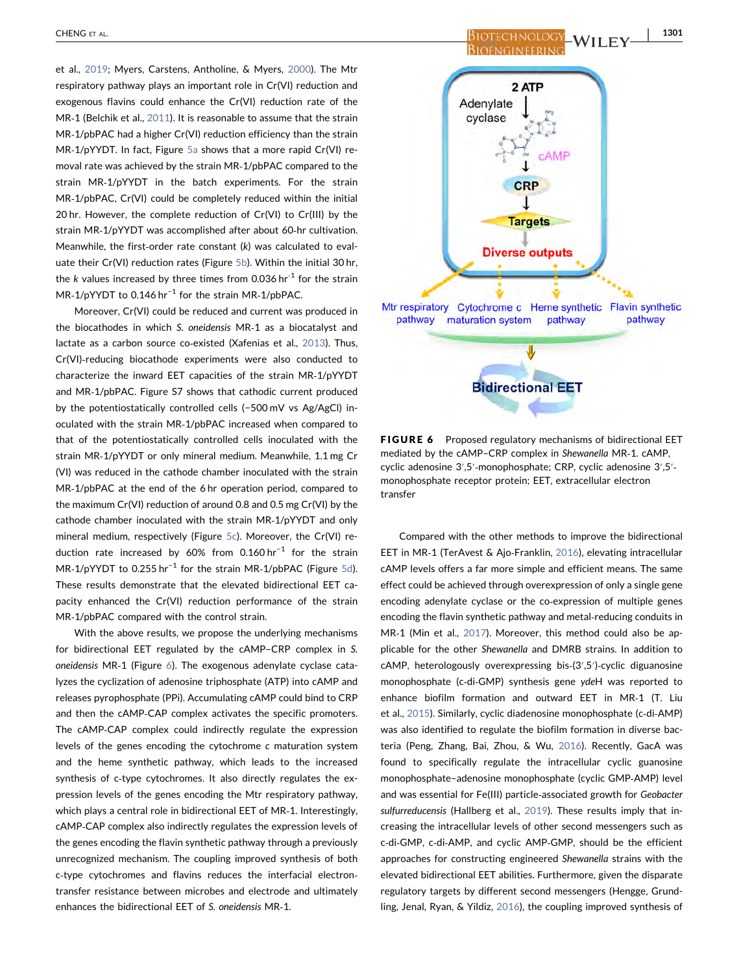et al., [2019;](#page-8-0) Myers, Carstens, Antholine, & Myers, [2000\)](#page-8-0). The Mtr respiratory pathway plays an important role in Cr(VI) reduction and exogenous flavins could enhance the Cr(VI) reduction rate of the MR‐1 (Belchik et al., [2011\)](#page-8-0). It is reasonable to assume that the strain MR-1/pbPAC had a higher Cr(VI) reduction efficiency than the strain MR‐1/pYYDT. In fact, Figure [5a](#page-6-1) shows that a more rapid Cr(VI) removal rate was achieved by the strain MR‐1/pbPAC compared to the strain MR‐1/pYYDT in the batch experiments. For the strain MR‐1/pbPAC, Cr(VI) could be completely reduced within the initial 20 hr. However, the complete reduction of Cr(VI) to Cr(III) by the strain MR-1/pYYDT was accomplished after about 60-hr cultivation. Meanwhile, the first-order rate constant (k) was calculated to evaluate their Cr(VI) reduction rates (Figure [5b\)](#page-6-1). Within the initial 30 hr, the k values increased by three times from 0.036 hr<sup>-1</sup> for the strain MR-1/pYYDT to 0.146 hr<sup>-1</sup> for the strain MR-1/pbPAC.

Moreover, Cr(VI) could be reduced and current was produced in the biocathodes in which S. oneidensis MR‐1 as a biocatalyst and lactate as a carbon source co‐existed (Xafenias et al., [2013](#page-9-0)). Thus, Cr(VI)-reducing biocathode experiments were also conducted to characterize the inward EET capacities of the strain MR‐1/pYYDT and MR‐1/pbPAC. Figure S7 shows that cathodic current produced by the potentiostatically controlled cells (−500 mV vs Ag/AgCl) inoculated with the strain MR‐1/pbPAC increased when compared to that of the potentiostatically controlled cells inoculated with the strain MR‐1/pYYDT or only mineral medium. Meanwhile, 1.1 mg Cr (VI) was reduced in the cathode chamber inoculated with the strain MR‐1/pbPAC at the end of the 6 hr operation period, compared to the maximum Cr(VI) reduction of around 0.8 and 0.5 mg Cr(VI) by the cathode chamber inoculated with the strain MR‐1/pYYDT and only mineral medium, respectively (Figure [5c](#page-6-1)). Moreover, the Cr(VI) reduction rate increased by 60% from 0.160 hr−<sup>1</sup> for the strain MR-1/pYYDT to 0.255 hr<sup>-1</sup> for the strain MR-1/pbPAC (Figure [5d\)](#page-6-1). These results demonstrate that the elevated bidirectional EET capacity enhanced the Cr(VI) reduction performance of the strain MR‐1/pbPAC compared with the control strain.

With the above results, we propose the underlying mechanisms for bidirectional EET regulated by the cAMP–CRP complex in S. oneidensis MR‐1 (Figure [6](#page-7-0)). The exogenous adenylate cyclase catalyzes the cyclization of adenosine triphosphate (ATP) into cAMP and releases pyrophosphate (PPi). Accumulating cAMP could bind to CRP and then the cAMP‐CAP complex activates the specific promoters. The cAMP‐CAP complex could indirectly regulate the expression levels of the genes encoding the cytochrome c maturation system and the heme synthetic pathway, which leads to the increased synthesis of c-type cytochromes. It also directly regulates the expression levels of the genes encoding the Mtr respiratory pathway, which plays a central role in bidirectional EET of MR‐1. Interestingly, cAMP‐CAP complex also indirectly regulates the expression levels of the genes encoding the flavin synthetic pathway through a previously unrecognized mechanism. The coupling improved synthesis of both c-type cytochromes and flavins reduces the interfacial electrontransfer resistance between microbes and electrode and ultimately enhances the bidirectional EET of S. oneidensis MR‐1.

CHENG ET AL. 1301 **BIOENGINEERING** 

<span id="page-7-0"></span>

FIGURE 6 Proposed regulatory mechanisms of bidirectional EET mediated by the cAMP–CRP complex in Shewanella MR‐1. cAMP, cyclic adenosine 3′,5′‐monophosphate; CRP, cyclic adenosine 3′,5′‐ monophosphate receptor protein; EET, extracellular electron transfer

Compared with the other methods to improve the bidirectional EET in MR-1 (TerAvest & Ajo-Franklin, [2016](#page-9-0)), elevating intracellular cAMP levels offers a far more simple and efficient means. The same effect could be achieved through overexpression of only a single gene encoding adenylate cyclase or the co-expression of multiple genes encoding the flavin synthetic pathway and metal‐reducing conduits in MR‐1 (Min et al., [2017\)](#page-8-0). Moreover, this method could also be applicable for the other Shewanella and DMRB strains. In addition to cAMP, heterologously overexpressing bis‐(3′,5′)‐cyclic diguanosine monophosphate (c‐di‐GMP) synthesis gene ydeH was reported to enhance biofilm formation and outward EET in MR‐1 (T. Liu et al., [2015\)](#page-8-0). Similarly, cyclic diadenosine monophosphate (c‐di‐AMP) was also identified to regulate the biofilm formation in diverse bacteria (Peng, Zhang, Bai, Zhou, & Wu, [2016](#page-9-0)). Recently, GacA was found to specifically regulate the intracellular cyclic guanosine monophosphate–adenosine monophosphate (cyclic GMP‐AMP) level and was essential for Fe(III) particle‐associated growth for Geobacter sulfurreducensis (Hallberg et al., [2019](#page-8-0)). These results imply that increasing the intracellular levels of other second messengers such as c‐di‐GMP, c‐di‐AMP, and cyclic AMP‐GMP, should be the efficient approaches for constructing engineered Shewanella strains with the elevated bidirectional EET abilities. Furthermore, given the disparate regulatory targets by different second messengers (Hengge, Grundling, Jenal, Ryan, & Yildiz, [2016\)](#page-8-0), the coupling improved synthesis of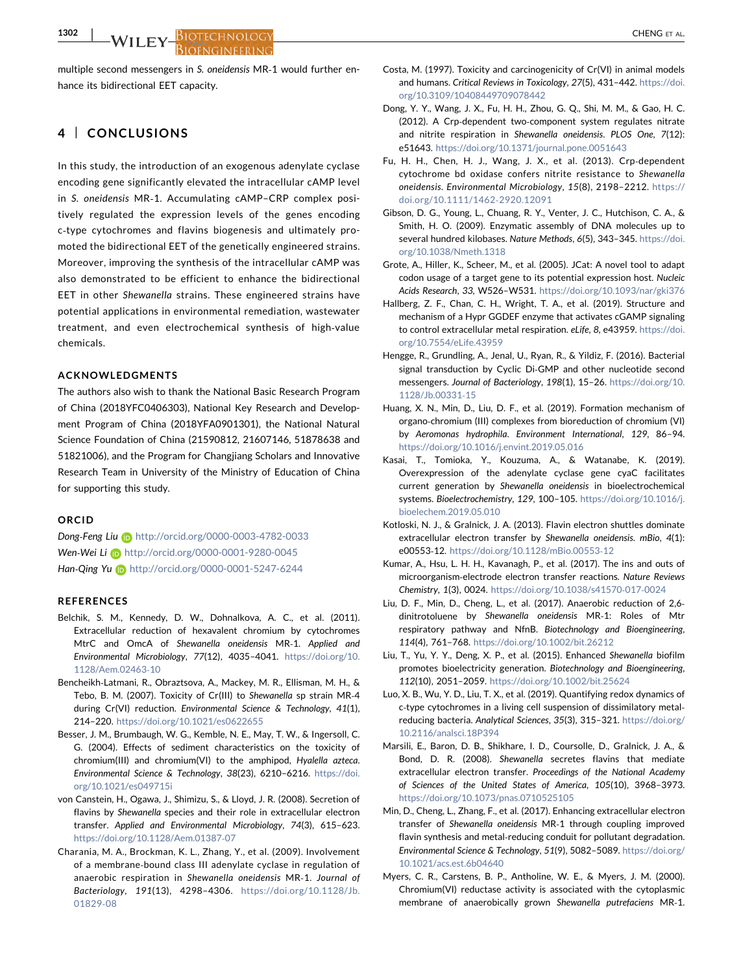<span id="page-8-0"></span>multiple second messengers in S. oneidensis MR‐1 would further enhance its bidirectional EET capacity.

# 4 | CONCLUSIONS

In this study, the introduction of an exogenous adenylate cyclase encoding gene significantly elevated the intracellular cAMP level in S. oneidensis MR‐1. Accumulating cAMP–CRP complex positively regulated the expression levels of the genes encoding c‐type cytochromes and flavins biogenesis and ultimately promoted the bidirectional EET of the genetically engineered strains. Moreover, improving the synthesis of the intracellular cAMP was also demonstrated to be efficient to enhance the bidirectional EET in other Shewanella strains. These engineered strains have potential applications in environmental remediation, wastewater treatment, and even electrochemical synthesis of high‐value chemicals.

#### ACKNOWLEDGMENTS

The authors also wish to thank the National Basic Research Program of China (2018YFC0406303), National Key Research and Development Program of China (2018YFA0901301), the National Natural Science Foundation of China (21590812, 21607146, 51878638 and 51821006), and the Program for Changjiang Scholars and Innovative Research Team in University of the Ministry of Education of China for supporting this study.

#### ORCID

Dong-Feng Liu iD <http://orcid.org/0000-0003-4782-0033> Wen-Wei Li (D <http://orcid.org/0000-0001-9280-0045> Han-Qing Yu b <http://orcid.org/0000-0001-5247-6244>

#### **REFERENCES**

- Belchik, S. M., Kennedy, D. W., Dohnalkova, A. C., et al. (2011). Extracellular reduction of hexavalent chromium by cytochromes MtrC and OmcA of Shewanella oneidensis MR‐1. Applied and Environmental Microbiology, 77(12), 4035–4041. [https://doi.org/10.](https://doi.org/10.1128/Aem.02463-10) [1128/Aem.02463](https://doi.org/10.1128/Aem.02463-10)‐10
- Bencheikh‐Latmani, R., Obraztsova, A., Mackey, M. R., Ellisman, M. H., & Tebo, B. M. (2007). Toxicity of Cr(III) to Shewanella sp strain MR‐4 during Cr(VI) reduction. Environmental Science & Technology, 41(1), 214–220. <https://doi.org/10.1021/es0622655>
- Besser, J. M., Brumbaugh, W. G., Kemble, N. E., May, T. W., & Ingersoll, C. G. (2004). Effects of sediment characteristics on the toxicity of chromium(III) and chromium(VI) to the amphipod, Hyalella azteca. Environmental Science & Technology, 38(23), 6210–6216. [https://doi.](https://doi.org/10.1021/es049715i) [org/10.1021/es049715i](https://doi.org/10.1021/es049715i)
- von Canstein, H., Ogawa, J., Shimizu, S., & Lloyd, J. R. (2008). Secretion of flavins by Shewanella species and their role in extracellular electron transfer. Applied and Environmental Microbiology, 74(3), 615–623. [https://doi.org/10.1128/Aem.01387](https://doi.org/10.1128/Aem.01387-07)‐07
- Charania, M. A., Brockman, K. L., Zhang, Y., et al. (2009). Involvement of a membrane‐bound class III adenylate cyclase in regulation of anaerobic respiration in Shewanella oneidensis MR‐1. Journal of Bacteriology, 191(13), 4298–4306. [https://doi.org/10.1128/Jb.](https://doi.org/10.1128/Jb.01829-08) [01829](https://doi.org/10.1128/Jb.01829-08)‐08
- Costa, M. (1997). Toxicity and carcinogenicity of Cr(VI) in animal models and humans. Critical Reviews in Toxicology, 27(5), 431–442. [https://doi.](https://doi.org/10.3109/10408449709078442) [org/10.3109/10408449709078442](https://doi.org/10.3109/10408449709078442)
- Dong, Y. Y., Wang, J. X., Fu, H. H., Zhou, G. Q., Shi, M. M., & Gao, H. C. (2012). A Crp‐dependent two‐component system regulates nitrate and nitrite respiration in Shewanella oneidensis. PLOS One, 7(12): e51643. <https://doi.org/10.1371/journal.pone.0051643>
- Fu, H. H., Chen, H. J., Wang, J. X., et al. (2013). Crp‐dependent cytochrome bd oxidase confers nitrite resistance to Shewanella oneidensis. Environmental Microbiology, 15(8), 2198–2212. [https://](https://doi.org/10.1111/1462-2920.12091) [doi.org/10.1111/1462](https://doi.org/10.1111/1462-2920.12091)‐2920.12091
- Gibson, D. G., Young, L., Chuang, R. Y., Venter, J. C., Hutchison, C. A., & Smith, H. O. (2009). Enzymatic assembly of DNA molecules up to several hundred kilobases. Nature Methods, 6(5), 343–345. [https://doi.](https://doi.org/10.1038/Nmeth.1318) [org/10.1038/Nmeth.1318](https://doi.org/10.1038/Nmeth.1318)
- Grote, A., Hiller, K., Scheer, M., et al. (2005). JCat: A novel tool to adapt codon usage of a target gene to its potential expression host. Nucleic Acids Research, 33, W526–W531. <https://doi.org/10.1093/nar/gki376>
- Hallberg, Z. F., Chan, C. H., Wright, T. A., et al. (2019). Structure and mechanism of a Hypr GGDEF enzyme that activates cGAMP signaling to control extracellular metal respiration. eLife, 8, e43959. [https://doi.](https://doi.org/10.7554/eLife.43959) [org/10.7554/eLife.43959](https://doi.org/10.7554/eLife.43959)
- Hengge, R., Grundling, A., Jenal, U., Ryan, R., & Yildiz, F. (2016). Bacterial signal transduction by Cyclic Di‐GMP and other nucleotide second messengers. Journal of Bacteriology, 198(1), 15–26. [https://doi.org/10.](https://doi.org/10.1128/Jb.00331-15) [1128/Jb.00331](https://doi.org/10.1128/Jb.00331-15)‐15
- Huang, X. N., Min, D., Liu, D. F., et al. (2019). Formation mechanism of organo‐chromium (III) complexes from bioreduction of chromium (VI) by Aeromonas hydrophila. Environment International, 129, 86–94. <https://doi.org/10.1016/j.envint.2019.05.016>
- Kasai, T., Tomioka, Y., Kouzuma, A., & Watanabe, K. (2019). Overexpression of the adenylate cyclase gene cyaC facilitates current generation by Shewanella oneidensis in bioelectrochemical systems. Bioelectrochemistry, 129, 100–105. [https://doi.org/10.1016/j.](https://doi.org/10.1016/j.bioelechem.2019.05.010) [bioelechem.2019.05.010](https://doi.org/10.1016/j.bioelechem.2019.05.010)
- Kotloski, N. J., & Gralnick, J. A. (2013). Flavin electron shuttles dominate extracellular electron transfer by Shewanella oneidensis. mBio, 4(1): e00553‐12. [https://doi.org/10.1128/mBio.00553](https://doi.org/10.1128/mBio.00553-12)‐12
- Kumar, A., Hsu, L. H. H., Kavanagh, P., et al. (2017). The ins and outs of microorganism‐electrode electron transfer reactions. Nature Reviews Chemistry, 1(3), 0024. [https://doi.org/10.1038/s41570](https://doi.org/10.1038/s41570-017-0024)‐017‐0024
- Liu, D. F., Min, D., Cheng, L., et al. (2017). Anaerobic reduction of 2,6‐ dinitrotoluene by Shewanella oneidensis MR‐1: Roles of Mtr respiratory pathway and NfnB. Biotechnology and Bioengineering, 114(4), 761–768. <https://doi.org/10.1002/bit.26212>
- Liu, T., Yu, Y. Y., Deng, X. P., et al. (2015). Enhanced Shewanella biofilm promotes bioelectricity generation. Biotechnology and Bioengineering, 112(10), 2051–2059. <https://doi.org/10.1002/bit.25624>
- Luo, X. B., Wu, Y. D., Liu, T. X., et al. (2019). Quantifying redox dynamics of c‐type cytochromes in a living cell suspension of dissimilatory metal‐ reducing bacteria. Analytical Sciences, 35(3), 315–321. [https://doi.org/](https://doi.org/10.2116/analsci.18P394) [10.2116/analsci.18P394](https://doi.org/10.2116/analsci.18P394)
- Marsili, E., Baron, D. B., Shikhare, I. D., Coursolle, D., Gralnick, J. A., & Bond, D. R. (2008). Shewanella secretes flavins that mediate extracellular electron transfer. Proceedings of the National Academy of Sciences of the United States of America, 105(10), 3968–3973. <https://doi.org/10.1073/pnas.0710525105>
- Min, D., Cheng, L., Zhang, F., et al. (2017). Enhancing extracellular electron transfer of Shewanella oneidensis MR‐1 through coupling improved flavin synthesis and metal‐reducing conduit for pollutant degradation. Environmental Science & Technology, 51(9), 5082–5089. [https://doi.org/](https://doi.org/10.1021/acs.est.6b04640) [10.1021/acs.est.6b04640](https://doi.org/10.1021/acs.est.6b04640)
- Myers, C. R., Carstens, B. P., Antholine, W. E., & Myers, J. M. (2000). Chromium(VI) reductase activity is associated with the cytoplasmic membrane of anaerobically grown Shewanella putrefaciens MR‐1.